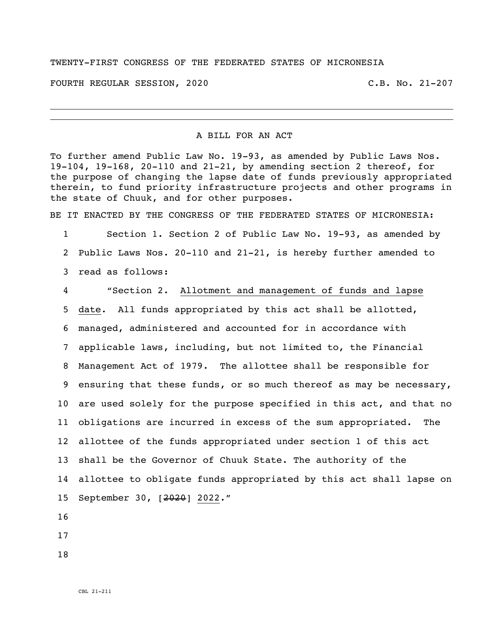## TWENTY-FIRST CONGRESS OF THE FEDERATED STATES OF MICRONESIA

FOURTH REGULAR SESSION, 2020 C.B. No. 21-207

## A BILL FOR AN ACT

To further amend Public Law No. 19-93, as amended by Public Laws Nos. 19-104, 19-168, 20-110 and 21-21, by amending section 2 thereof, for the purpose of changing the lapse date of funds previously appropriated therein, to fund priority infrastructure projects and other programs in the state of Chuuk, and for other purposes.

BE IT ENACTED BY THE CONGRESS OF THE FEDERATED STATES OF MICRONESIA:

 Section 1. Section 2 of Public Law No. 19-93, as amended by Public Laws Nos. 20-110 and 21-21, is hereby further amended to read as follows:

 "Section 2. Allotment and management of funds and lapse date. All funds appropriated by this act shall be allotted, managed, administered and accounted for in accordance with applicable laws, including, but not limited to, the Financial Management Act of 1979. The allottee shall be responsible for ensuring that these funds, or so much thereof as may be necessary, are used solely for the purpose specified in this act, and that no obligations are incurred in excess of the sum appropriated. The allottee of the funds appropriated under section 1 of this act shall be the Governor of Chuuk State. The authority of the allottee to obligate funds appropriated by this act shall lapse on September 30, [2020] 2022."